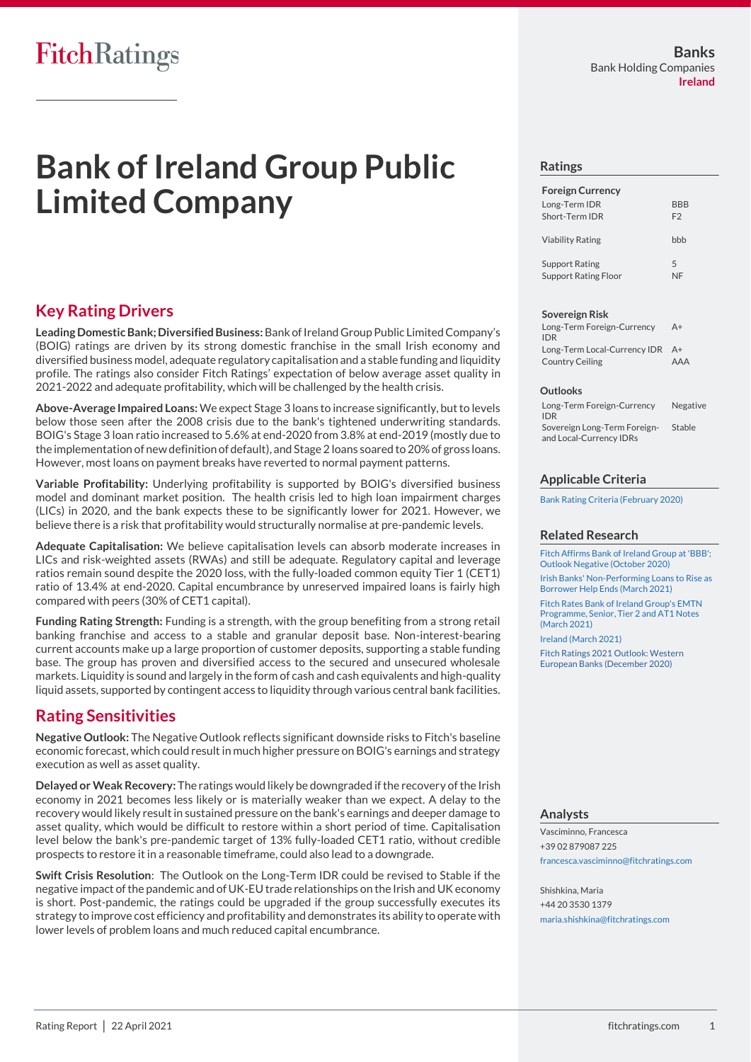# **Bank of Ireland Group Public Limited Company**

### **Key Rating Drivers**

**Leading Domestic Bank; Diversified Business:**Bank of Ireland Group Public Limited Company's (BOIG) ratings are driven by its strong domestic franchise in the small Irish economy and diversified business model, adequate regulatory capitalisation and a stable funding and liquidity profile. The ratings also consider Fitch Ratings' expectation of below average asset quality in 2021-2022 and adequate profitability, which will be challenged by the health crisis.

**Above-Average Impaired Loans:**We expect Stage 3 loans to increase significantly, but to levels below those seen after the 2008 crisis due to the bank's tightened underwriting standards. BOIG's Stage 3 loan ratio increased to 5.6% at end-2020 from 3.8% at end-2019 (mostly due to the implementation of new definition of default), and Stage 2 loans soared to 20% of gross loans. However, most loans on payment breaks have reverted to normal payment patterns.

**Variable Profitability:** Underlying profitability is supported by BOIG's diversified business model and dominant market position. The health crisis led to high loan impairment charges (LICs) in 2020, and the bank expects these to be significantly lower for 2021. However, we believe there is a risk that profitability would structurally normalise at pre-pandemic levels.

**Adequate Capitalisation:** We believe capitalisation levels can absorb moderate increases in LICs and risk-weighted assets (RWAs) and still be adequate. Regulatory capital and leverage ratios remain sound despite the 2020 loss, with the fully-loaded common equity Tier 1 (CET1) ratio of 13.4% at end-2020. Capital encumbrance by unreserved impaired loans is fairly high compared with peers (30% of CET1 capital).

**Funding Rating Strength:** Funding is a strength, with the group benefiting from a strong retail banking franchise and access to a stable and granular deposit base. Non-interest-bearing current accounts make up a large proportion of customer deposits, supporting a stable funding base. The group has proven and diversified access to the secured and unsecured wholesale markets. Liquidity is sound and largely in the form of cash and cash equivalents and high-quality liquid assets, supported by contingent access to liquidity through various central bank facilities.

## **Rating Sensitivities**

**Negative Outlook:** The Negative Outlook reflects significant downside risks to Fitch's baseline economic forecast, which could result in much higher pressure on BOIG's earnings and strategy execution as well as asset quality.

**Delayed or Weak Recovery:** The ratings would likely be downgraded if the recovery of the Irish economy in 2021 becomes less likely or is materially weaker than we expect. A delay to the recovery would likely result in sustained pressure on the bank's earnings and deeper damage to asset quality, which would be difficult to restore within a short period of time. Capitalisation level below the bank's pre-pandemic target of 13% fully-loaded CET1 ratio, without credible prospects to restore it in a reasonable timeframe, could also lead to a downgrade.

**Swift Crisis Resolution**: The Outlook on the Long-Term IDR could be revised to Stable if the negative impact of the pandemic and of UK-EU trade relationships on the Irish and UK economy is short. Post-pandemic, the ratings could be upgraded if the group successfully executes its strategy to improve cost efficiency and profitability and demonstrates its ability to operate with lower levels of problem loans and much reduced capital encumbrance.

#### **Ratings**

| <b>Foreign Currency</b>                              |                       |
|------------------------------------------------------|-----------------------|
| Long-Term IDR<br>Short-Term IDR                      | BBB<br>F <sub>2</sub> |
| <b>Viability Rating</b>                              | hhh                   |
| <b>Support Rating</b><br><b>Support Rating Floor</b> | $\overline{5}$        |

#### **Sovereign Risk**

| Long-Term Foreign-Currency<br><b>IDR</b> | $A+$ |
|------------------------------------------|------|
| Long-Term Local-Currency IDR A+          |      |
| Country Ceiling                          | AAA  |

#### **Outlooks**

| Long-Term Foreign-Currency<br><b>IDR</b>                | Negative |
|---------------------------------------------------------|----------|
| Sovereign Long-Term Foreign-<br>and Local-Currency IDRs | Stable   |

#### **Applicable Criteria**

[Bank Rating Criteria \(February 2020\)](https://app.fitchconnect.com/search/research/article/FR_RPT_10110041)

#### **Related Research**

[Fitch Affirms Bank of Ireland Group at 'BBB';](https://app.fitchconnect.com/search/research/article/FR_PR_10139798)  [Outlook Negative \(October 2020\)](https://app.fitchconnect.com/search/research/article/FR_PR_10139798) [Irish Banks' Non-Performing Loans to Rise as](https://app.fitchconnect.com/search/research/article/FR_PR_10155684) 

[Borrower Help Ends \(March 2021\)](https://app.fitchconnect.com/search/research/article/FR_PR_10155684) [Fitch Rates Bank of Ireland Group's EMTN](https://app.fitchconnect.com/search/research/article/FR_PR_10154134)  [Programme, Senior, Tier 2 and AT1 Notes](https://app.fitchconnect.com/search/research/article/FR_PR_10154134) 

[\(March 2021\)](https://app.fitchconnect.com/search/research/article/FR_PR_10154134) [Ireland \(March 2021\)](https://app.fitchconnect.com/search/research/article/FR_RPT_10154064) [Fitch Ratings 2021 Outlook: Western](https://app.fitchconnect.com/search/research/article/RPT_10144362)  [European Banks \(December 2020\)](https://app.fitchconnect.com/search/research/article/RPT_10144362)

#### **Analysts**

Vasciminno, Francesca +39 02 879087 225 [francesca.vasciminno@fitchratings.com](mailto:francesca.vasciminno@fitchratings.com)

Shishkina, Maria +44 20 3530 1379 [maria.shishkina@fitchratings.com](mailto:maria.shishkina@fitchratings.com)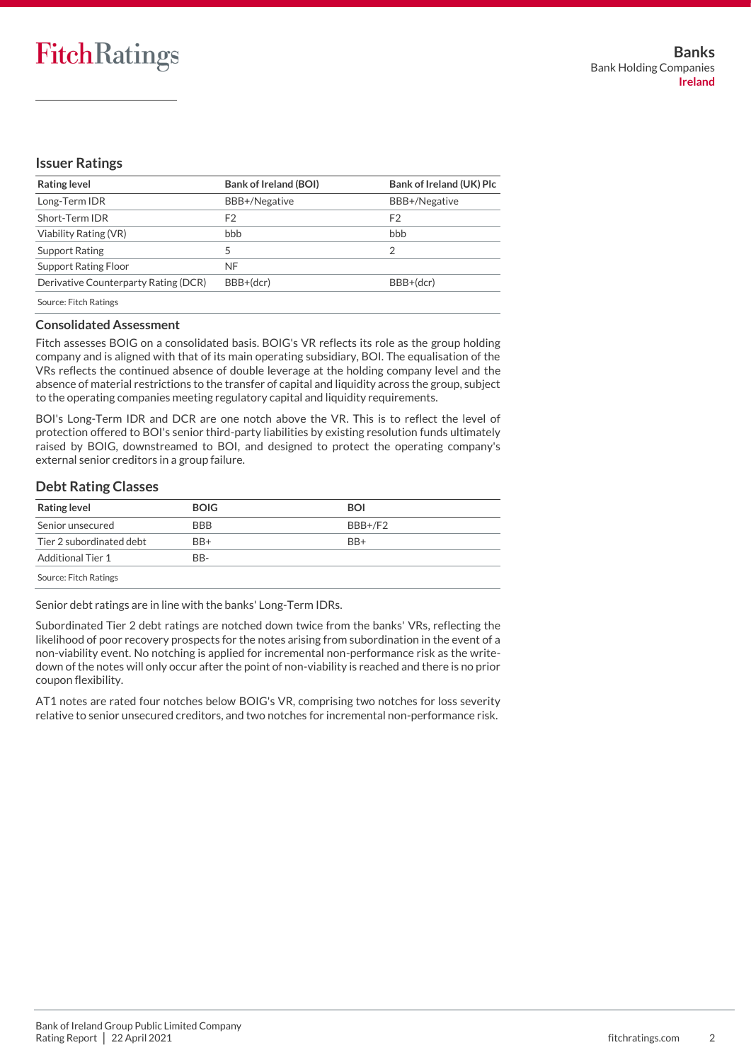## FitchRatings

#### **Issuer Ratings**

| <b>Rating level</b>                  | <b>Bank of Ireland (BOI)</b> | Bank of Ireland (UK) Plc |
|--------------------------------------|------------------------------|--------------------------|
| Long-Term IDR                        | BBB+/Negative                | BBB+/Negative            |
| Short-Term IDR                       | F2                           | F <sub>2</sub>           |
| Viability Rating (VR)                | bbb                          | bbb                      |
| Support Rating                       |                              | っ                        |
| <b>Support Rating Floor</b>          | NF                           |                          |
| Derivative Counterparty Rating (DCR) | BBB+(dcr)                    | BBB+(dcr)                |
| Source: Eitch Patings                |                              |                          |

Source: Fitch Ratings

#### **Consolidated Assessment**

Fitch assesses BOIG on a consolidated basis. BOIG's VR reflects its role as the group holding company and is aligned with that of its main operating subsidiary, BOI. The equalisation of the VRs reflects the continued absence of double leverage at the holding company level and the absence of material restrictions to the transfer of capital and liquidity across the group, subject to the operating companies meeting regulatory capital and liquidity requirements.

BOI's Long-Term IDR and DCR are one notch above the VR. This is to reflect the level of protection offered to BOI's senior third-party liabilities by existing resolution funds ultimately raised by BOIG, downstreamed to BOI, and designed to protect the operating company's external senior creditors in a group failure.

#### **Debt Rating Classes**

| <b>Rating level</b>      | <b>BOIG</b> | <b>BOI</b>      |
|--------------------------|-------------|-----------------|
| Senior unsecured         | <b>BBB</b>  | BBB+/F2         |
| Tier 2 subordinated debt | BB+         | B <sub>R+</sub> |
| Additional Tier 1        | BB-         |                 |
| Source: Fitch Ratings    |             |                 |

Senior debt ratings are in line with the banks' Long-Term IDRs.

Subordinated Tier 2 debt ratings are notched down twice from the banks' VRs, reflecting the likelihood of poor recovery prospects for the notes arising from subordination in the event of a non-viability event. No notching is applied for incremental non-performance risk as the writedown of the notes will only occur after the point of non-viability is reached and there is no prior coupon flexibility.

AT1 notes are rated four notches below BOIG's VR, comprising two notches for loss severity relative to senior unsecured creditors, and two notches for incremental non-performance risk.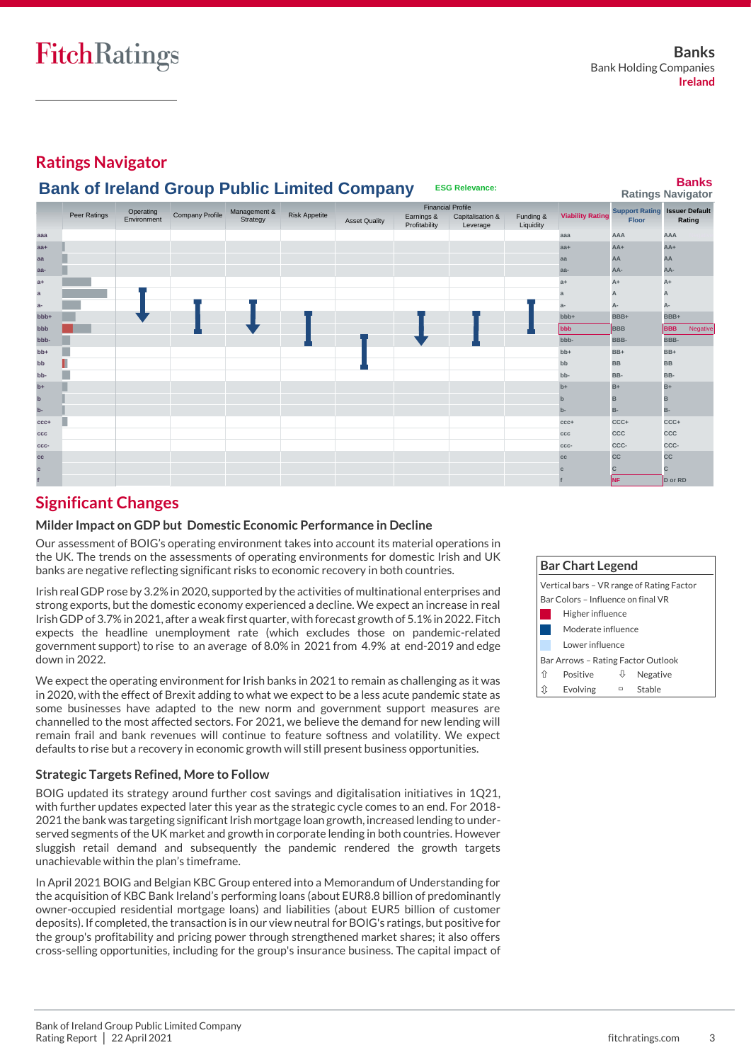**Ratings Navigator**



## **Significant Changes**

#### **Milder Impact on GDP but Domestic Economic Performance in Decline**

Our assessment of BOIG's operating environment takes into account its material operations in the UK. The trends on the assessments of operating environments for domestic Irish and UK banks are negative reflecting significant risks to economic recovery in both countries.

Irish real GDP rose by 3.2% in 2020, supported by the activities of multinational enterprises and strong exports, but the domestic economy experienced a decline. We expect an increase in real Irish GDP of 3.7% in 2021, after a weak first quarter, with forecast growth of 5.1% in 2022. Fitch expects the headline unemployment rate (which excludes those on pandemic-related government support) to rise to an average of 8.0% in 2021 from 4.9% at end-2019 and edge down in 2022.

We expect the operating environment for Irish banks in 2021 to remain as challenging as it was in 2020, with the effect of Brexit adding to what we expect to be a less acute pandemic state as some businesses have adapted to the new norm and government support measures are channelled to the most affected sectors. For 2021, we believe the demand for new lending will remain frail and bank revenues will continue to feature softness and volatility. We expect defaults to rise but a recovery in economic growth will still present business opportunities.

#### **Strategic Targets Refined, More to Follow**

BOIG updated its strategy around further cost savings and digitalisation initiatives in 1Q21, with further updates expected later this year as the strategic cycle comes to an end. For 2018- 2021 the bank was targeting significant Irish mortgage loan growth, increased lending to underserved segments of the UK market and growth in corporate lending in both countries. However sluggish retail demand and subsequently the pandemic rendered the growth targets unachievable within the plan's timeframe.

In April 2021 BOIG and Belgian KBC Group entered into a Memorandum of Understanding for the acquisition of KBC Bank Ireland's performing loans (about EUR8.8 billion of predominantly owner-occupied residential mortgage loans) and liabilities (about EUR5 billion of customer deposits). If completed, the transaction is in our view neutral for BOIG's ratings, but positive for the group's profitability and pricing power through strengthened market shares; it also offers cross-selling opportunities, including for the group's insurance business. The capital impact of

|                                                                                 | <b>Bar Chart Legend</b>            |   |        |  |  |
|---------------------------------------------------------------------------------|------------------------------------|---|--------|--|--|
| Vertical bars – VR range of Rating Factor<br>Bar Colors - Influence on final VR |                                    |   |        |  |  |
| Higher influence                                                                |                                    |   |        |  |  |
| Moderate influence                                                              |                                    |   |        |  |  |
| Lower influence                                                                 |                                    |   |        |  |  |
|                                                                                 | Bar Arrows - Rating Factor Outlook |   |        |  |  |
| Positive<br>⇑<br>Negative<br>₩                                                  |                                    |   |        |  |  |
|                                                                                 | Evolving                           | □ | Stable |  |  |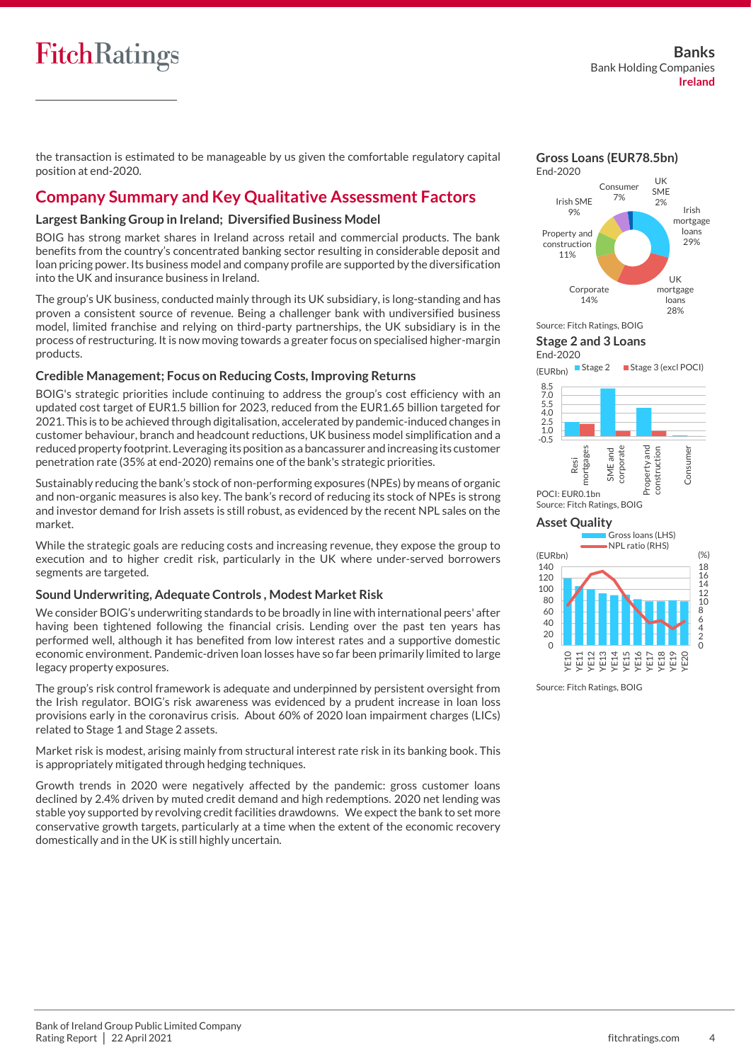## **FitchRatings**

the transaction is estimated to be manageable by us given the comfortable regulatory capital position at end-2020.

## **Company Summary and Key Qualitative Assessment Factors**

#### **Largest Banking Group in Ireland; Diversified Business Model**

BOIG has strong market shares in Ireland across retail and commercial products. The bank benefits from the country's concentrated banking sector resulting in considerable deposit and loan pricing power. Its business model and company profile are supported by the diversification into the UK and insurance business in Ireland.

The group's UK business, conducted mainly through its UK subsidiary, is long-standing and has proven a consistent source of revenue. Being a challenger bank with undiversified business model, limited franchise and relying on third-party partnerships, the UK subsidiary is in the process of restructuring. It is now moving towards a greater focus on specialised higher-margin products.

#### **Credible Management; Focus on Reducing Costs, Improving Returns**

BOIG's strategic priorities include continuing to address the group's cost efficiency with an updated cost target of EUR1.5 billion for 2023, reduced from the EUR1.65 billion targeted for 2021. This is to be achieved through digitalisation, accelerated by pandemic-induced changes in customer behaviour, branch and headcount reductions, UK business model simplification and a reduced property footprint. Leveraging its position as a bancassurer and increasing its customer penetration rate (35% at end-2020) remains one of the bank's strategic priorities.

Sustainably reducing the bank's stock of non-performing exposures (NPEs) by means of organic and non-organic measures is also key. The bank's record of reducing its stock of NPEs is strong and investor demand for Irish assets is still robust, as evidenced by the recent NPL sales on the market.

While the strategic goals are reducing costs and increasing revenue, they expose the group to execution and to higher credit risk, particularly in the UK where under-served borrowers segments are targeted.

#### **Sound Underwriting, Adequate Controls , Modest Market Risk**

We consider BOIG's underwriting standards to be broadly in line with international peers' after having been tightened following the financial crisis. Lending over the past ten years has performed well, although it has benefited from low interest rates and a supportive domestic economic environment. Pandemic-driven loan losses have so far been primarily limited to large legacy property exposures.

The group's risk control framework is adequate and underpinned by persistent oversight from the Irish regulator. BOIG's risk awareness was evidenced by a prudent increase in loan loss provisions early in the coronavirus crisis. About 60% of 2020 loan impairment charges (LICs) related to Stage 1 and Stage 2 assets.

Market risk is modest, arising mainly from structural interest rate risk in its banking book. This is appropriately mitigated through hedging techniques.

Growth trends in 2020 were negatively affected by the pandemic: gross customer loans declined by 2.4% driven by muted credit demand and high redemptions. 2020 net lending was stable yoy supported by revolving credit facilities drawdowns. We expect the bank to set more conservative growth targets, particularly at a time when the extent of the economic recovery domestically and in the UK is still highly uncertain.

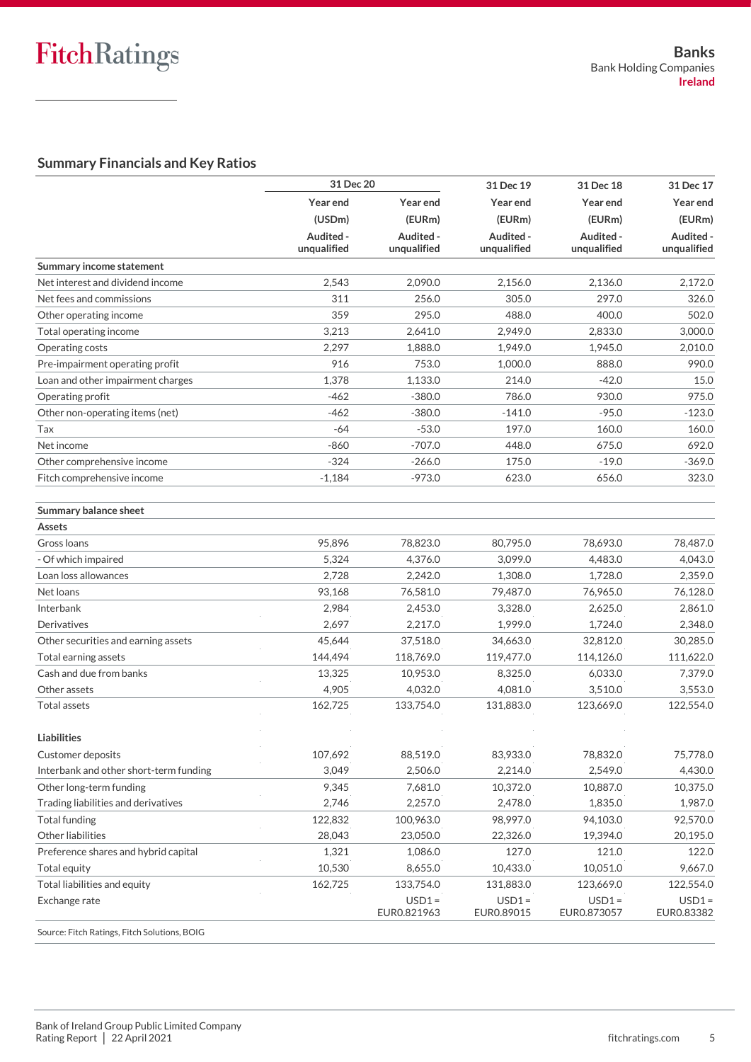### **Summary Financials and Key Ratios**

|                                              | 31 Dec 20<br>31 Dec 19<br>31 Dec 18 |                         | 31 Dec 17              |                         |                        |  |
|----------------------------------------------|-------------------------------------|-------------------------|------------------------|-------------------------|------------------------|--|
|                                              | Year end                            | Year end                | Year end               | Year end                | Year end               |  |
|                                              | (USDm)                              | (EURm)                  | (EURm)                 | (EURm)                  | (EURm)                 |  |
|                                              | Audited -                           | Audited -               | Audited -              | Audited -               | Audited -              |  |
|                                              | unqualified                         | unqualified             | unqualified            | unqualified             | unqualified            |  |
| Summary income statement                     |                                     |                         |                        |                         |                        |  |
| Net interest and dividend income             | 2,543                               | 2,090.0                 | 2,156.0                | 2,136.0                 | 2,172.0                |  |
| Net fees and commissions                     | 311                                 | 256.0                   | 305.0                  | 297.0                   | 326.0                  |  |
| Other operating income                       | 359                                 | 295.0                   | 488.0                  | 400.0                   | 502.0                  |  |
| Total operating income                       | 3,213                               | 2,641.0                 | 2,949.0                | 2,833.0                 | 3,000.0                |  |
| Operating costs                              | 2,297                               | 1,888.0                 | 1,949.0                | 1,945.0                 | 2,010.0                |  |
| Pre-impairment operating profit              | 916                                 | 753.0                   | 1,000.0                | 888.0                   | 990.0                  |  |
| Loan and other impairment charges            | 1,378                               | 1,133.0                 | 214.0                  | $-42.0$                 | 15.0                   |  |
| Operating profit                             | $-462$                              | $-380.0$                | 786.0                  | 930.0                   | 975.0                  |  |
| Other non-operating items (net)              | $-462$                              | $-380.0$                | $-141.0$               | $-95.0$                 | $-123.0$               |  |
| Tax                                          | $-64$                               | $-53.0$                 | 197.0                  | 160.0                   | 160.0                  |  |
| Net income                                   | $-860$                              | $-707.0$                | 448.0                  | 675.0                   | 692.0                  |  |
| Other comprehensive income                   | $-324$                              | $-266.0$                | 175.0                  | $-19.0$                 | $-369.0$               |  |
| Fitch comprehensive income                   | $-1,184$                            | $-973.0$                | 623.0                  | 656.0                   | 323.0                  |  |
| <b>Summary balance sheet</b>                 |                                     |                         |                        |                         |                        |  |
| <b>Assets</b>                                |                                     |                         |                        |                         |                        |  |
| Gross Ioans                                  | 95,896                              | 78,823.0                | 80,795.0               | 78,693.0                | 78,487.0               |  |
| Of which impaired                            | 5,324                               | 4,376.0                 | 3,099.0                | 4,483.0                 | 4,043.0                |  |
| Loan loss allowances                         | 2,728                               | 2,242.0                 | 1,308.0                | 1,728.0                 | 2,359.0                |  |
| Net loans                                    | 93,168                              | 76,581.0                | 79,487.0               | 76,965.0                | 76,128.0               |  |
| Interbank                                    | 2,984                               | 2,453.0                 | 3,328.0                | 2,625.0                 | 2,861.0                |  |
| Derivatives                                  | 2,697                               | 2,217.0                 | 1,999.0                | 1,724.0                 | 2,348.0                |  |
| Other securities and earning assets          | 45,644                              | 37,518.0                | 34,663.0               | 32,812.0                | 30,285.0               |  |
| Total earning assets                         | 144,494                             | 118,769.0               | 119,477.0              | 114,126.0               | 111,622.0              |  |
| Cash and due from banks                      | 13,325                              | 10,953.0                | 8,325.0                | 6,033.0                 | 7,379.0                |  |
| Other assets                                 | 4,905                               | 4,032.0                 | 4,081.0                | 3,510.0                 | 3,553.0                |  |
| <b>Total assets</b>                          | 162,725                             | 133,754.0               | 131,883.0              | 123,669.0               | 122,554.0              |  |
| <b>Liabilities</b>                           |                                     |                         |                        |                         |                        |  |
| <b>Customer deposits</b>                     | 107,692                             | 88,519.0                | 83,933.0               | 78,832.0                | 75,778.0               |  |
| Interbank and other short-term funding       | 3,049                               | 2,506.0                 | 2,214.0                | 2,549.0                 | 4,430.0                |  |
| Other long-term funding                      | 9,345                               | 7,681.0                 | 10,372.0               | 10,887.0                | 10,375.0               |  |
| Trading liabilities and derivatives          | 2,746                               | 2,257.0                 | 2,478.0                | 1,835.0                 | 1,987.0                |  |
| <b>Total funding</b>                         | 122,832                             | 100,963.0               | 98,997.0               | 94,103.0                | 92,570.0               |  |
| Other liabilities                            | 28,043                              | 23,050.0                | 22,326.0               | 19,394.0                | 20,195.0               |  |
| Preference shares and hybrid capital         | 1,321                               | 1,086.0                 | 127.0                  | 121.0                   | 122.0                  |  |
| Total equity                                 | 10,530                              | 8,655.0                 | 10,433.0               | 10,051.0                | 9,667.0                |  |
| Total liabilities and equity                 | 162,725                             | 133,754.0               | 131,883.0              | 123,669.0               | 122,554.0              |  |
| Exchange rate                                |                                     | $USD1 =$<br>EUR0.821963 | $USD1 =$<br>EUR0.89015 | $USD1 =$<br>EUR0.873057 | $USD1 =$<br>EUR0.83382 |  |
| Source: Fitch Ratings, Fitch Solutions, BOIG |                                     |                         |                        |                         |                        |  |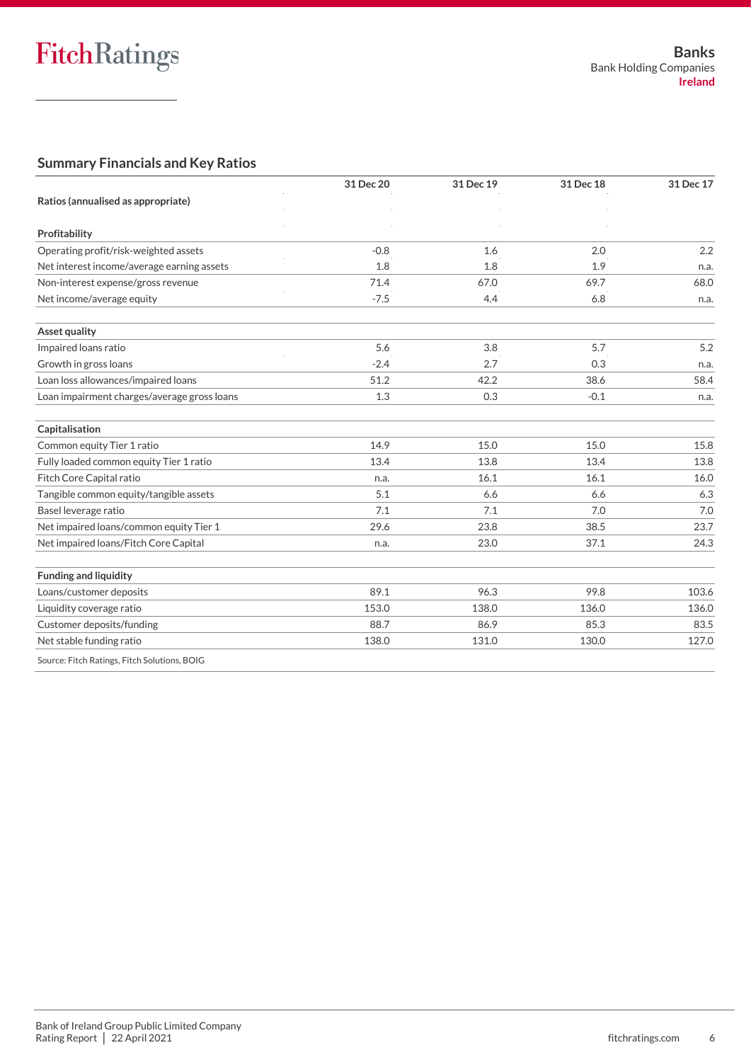### **Summary Financials and Key Ratios**

|                                              | 31 Dec 20 | 31 Dec 19 | 31 Dec 18 | 31 Dec 17 |
|----------------------------------------------|-----------|-----------|-----------|-----------|
| Ratios (annualised as appropriate)           |           |           |           |           |
| Profitability                                |           |           |           |           |
| Operating profit/risk-weighted assets        | $-0.8$    | 1.6       | 2.0       | 2.2       |
| Net interest income/average earning assets   | 1.8       | 1.8       | 1.9       | n.a.      |
| Non-interest expense/gross revenue           | 71.4      | 67.0      | 69.7      | 68.0      |
| Net income/average equity                    | $-7.5$    | 4.4       | 6.8       | n.a.      |
| Asset quality                                |           |           |           |           |
| Impaired loans ratio                         | 5.6       | 3.8       | 5.7       | 5.2       |
| Growth in gross loans                        | $-2.4$    | 2.7       | 0.3       | n.a.      |
| Loan loss allowances/impaired loans          | 51.2      | 42.2      | 38.6      | 58.4      |
| Loan impairment charges/average gross loans  | 1.3       | 0.3       | $-0.1$    | n.a.      |
| Capitalisation                               |           |           |           |           |
| Common equity Tier 1 ratio                   | 14.9      | 15.0      | 15.0      | 15.8      |
| Fully loaded common equity Tier 1 ratio      | 13.4      | 13.8      | 13.4      | 13.8      |
| Fitch Core Capital ratio                     | n.a.      | 16.1      | 16.1      | 16.0      |
| Tangible common equity/tangible assets       | 5.1       | 6.6       | 6.6       | 6.3       |
| Basel leverage ratio                         | 7.1       | 7.1       | 7.0       | 7.0       |
| Net impaired loans/common equity Tier 1      | 29.6      | 23.8      | 38.5      | 23.7      |
| Net impaired loans/Fitch Core Capital        | n.a.      | 23.0      | 37.1      | 24.3      |
| <b>Funding and liquidity</b>                 |           |           |           |           |
| Loans/customer deposits                      | 89.1      | 96.3      | 99.8      | 103.6     |
| Liquidity coverage ratio                     | 153.0     | 138.0     | 136.0     | 136.0     |
| Customer deposits/funding                    | 88.7      | 86.9      | 85.3      | 83.5      |
| Net stable funding ratio                     | 138.0     | 131.0     | 130.0     | 127.0     |
| Source: Fitch Ratings, Fitch Solutions, BOIG |           |           |           |           |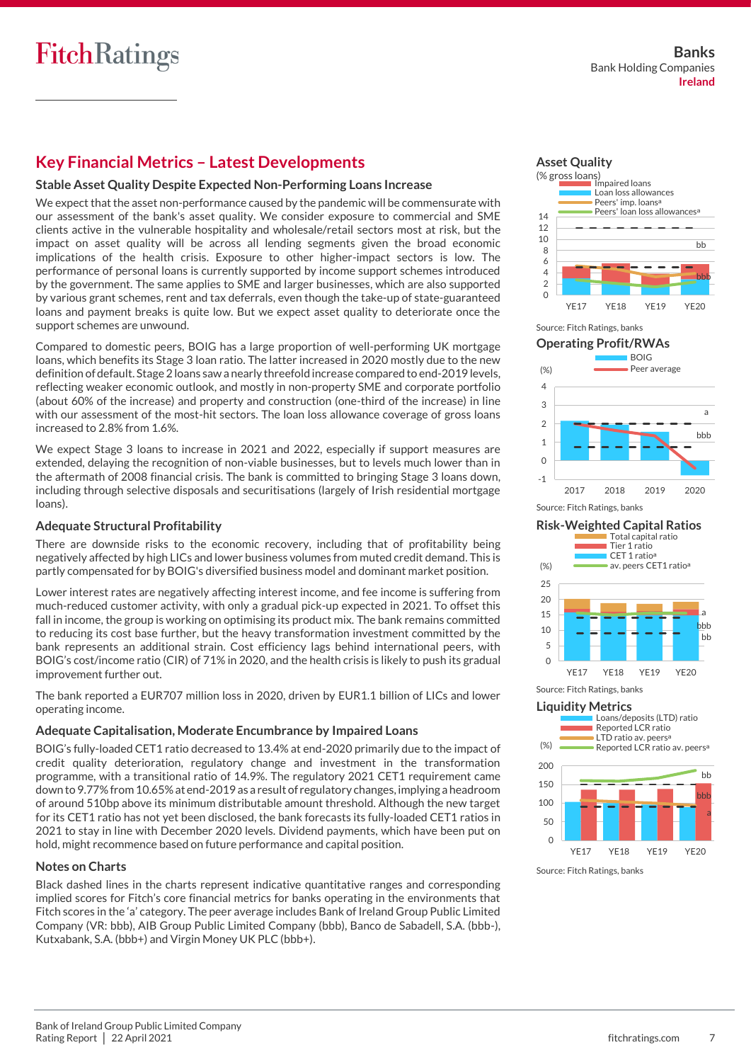## **Key Financial Metrics – Latest Developments**

#### **Stable Asset Quality Despite Expected Non-Performing Loans Increase**

We expect that the asset non-performance caused by the pandemic will be commensurate with our assessment of the bank's asset quality. We consider exposure to commercial and SME clients active in the vulnerable hospitality and wholesale/retail sectors most at risk, but the impact on asset quality will be across all lending segments given the broad economic implications of the health crisis. Exposure to other higher-impact sectors is low. The performance of personal loans is currently supported by income support schemes introduced by the government. The same applies to SME and larger businesses, which are also supported by various grant schemes, rent and tax deferrals, even though the take-up of state-guaranteed loans and payment breaks is quite low. But we expect asset quality to deteriorate once the support schemes are unwound.

Compared to domestic peers, BOIG has a large proportion of well-performing UK mortgage loans, which benefits its Stage 3 loan ratio. The latter increased in 2020 mostly due to the new definition of default. Stage 2 loans saw a nearly threefold increase compared to end-2019 levels, reflecting weaker economic outlook, and mostly in non-property SME and corporate portfolio (about 60% of the increase) and property and construction (one-third of the increase) in line with our assessment of the most-hit sectors. The loan loss allowance coverage of gross loans increased to 2.8% from 1.6%.

We expect Stage 3 loans to increase in 2021 and 2022, especially if support measures are extended, delaying the recognition of non-viable businesses, but to levels much lower than in the aftermath of 2008 financial crisis. The bank is committed to bringing Stage 3 loans down, including through selective disposals and securitisations (largely of Irish residential mortgage loans).

#### **Adequate Structural Profitability**

There are downside risks to the economic recovery, including that of profitability being negatively affected by high LICs and lower business volumes from muted credit demand. This is partly compensated for by BOIG's diversified business model and dominant market position.

Lower interest rates are negatively affecting interest income, and fee income is suffering from much-reduced customer activity, with only a gradual pick-up expected in 2021. To offset this fall in income, the group is working on optimising its product mix. The bank remains committed to reducing its cost base further, but the heavy transformation investment committed by the bank represents an additional strain. Cost efficiency lags behind international peers, with BOIG's cost/income ratio (CIR) of 71% in 2020, and the health crisis is likely to push its gradual improvement further out.

The bank reported a EUR707 million loss in 2020, driven by EUR1.1 billion of LICs and lower operating income.

#### **Adequate Capitalisation, Moderate Encumbrance by Impaired Loans**

BOIG's fully-loaded CET1 ratio decreased to 13.4% at end-2020 primarily due to the impact of credit quality deterioration, regulatory change and investment in the transformation programme, with a transitional ratio of 14.9%. The regulatory 2021 CET1 requirement came down to 9.77% from 10.65% at end-2019 as a result of regulatory changes, implying a headroom of around 510bp above its minimum distributable amount threshold. Although the new target for its CET1 ratio has not yet been disclosed, the bank forecasts its fully-loaded CET1 ratios in 2021 to stay in line with December 2020 levels. Dividend payments, which have been put on hold, might recommence based on future performance and capital position.

#### **Notes on Charts**

Black dashed lines in the charts represent indicative quantitative ranges and corresponding implied scores for Fitch's core financial metrics for banks operating in the environments that Fitch scores in the 'a' category. The peer average includes Bank of Ireland Group Public Limited Company (VR: bbb), AIB Group Public Limited Company (bbb), Banco de Sabadell, S.A. (bbb-), Kutxabank, S.A. (bbb+) and Virgin Money UK PLC (bbb+).













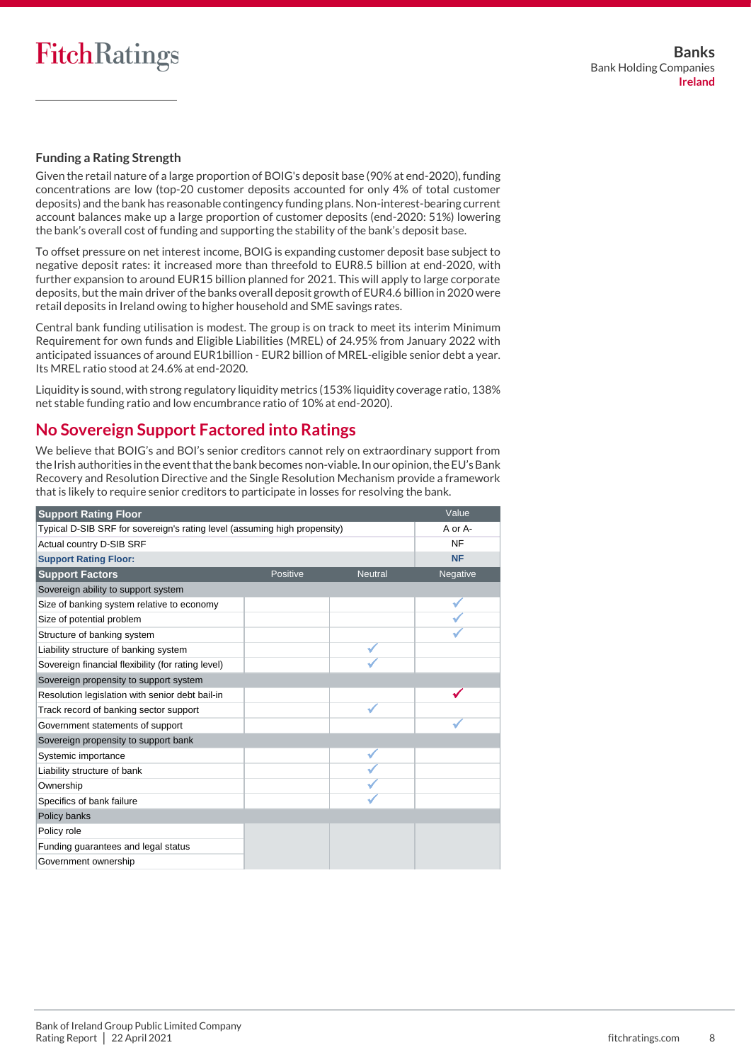#### **Funding a Rating Strength**

Given the retail nature of a large proportion of BOIG's deposit base (90% at end-2020), funding concentrations are low (top-20 customer deposits accounted for only 4% of total customer deposits) and the bank has reasonable contingency funding plans. Non-interest-bearing current account balances make up a large proportion of customer deposits (end-2020: 51%) lowering the bank's overall cost of funding and supporting the stability of the bank's deposit base.

To offset pressure on net interest income, BOIG is expanding customer deposit base subject to negative deposit rates: it increased more than threefold to EUR8.5 billion at end-2020, with further expansion to around EUR15 billion planned for 2021. This will apply to large corporate deposits, but the main driver of the banks overall deposit growth of EUR4.6 billion in 2020 were retail deposits in Ireland owing to higher household and SME savings rates.

Central bank funding utilisation is modest. The group is on track to meet its interim Minimum Requirement for own funds and Eligible Liabilities (MREL) of 24.95% from January 2022 with anticipated issuances of around EUR1billion - EUR2 billion of MREL-eligible senior debt a year. Its MREL ratio stood at 24.6% at end-2020.

Liquidity is sound, with strong regulatory liquidity metrics (153% liquidity coverage ratio, 138% net stable funding ratio and low encumbrance ratio of 10% at end-2020).

## **No Sovereign Support Factored into Ratings**

We believe that BOIG's and BOI's senior creditors cannot rely on extraordinary support from the Irish authorities in the event that the bank becomes non-viable. In our opinion, the EU's Bank Recovery and Resolution Directive and the Single Resolution Mechanism provide a framework that is likely to require senior creditors to participate in losses for resolving the bank.

| <b>Support Rating Floor</b>                                               |          |                | Value     |
|---------------------------------------------------------------------------|----------|----------------|-----------|
| Typical D-SIB SRF for sovereign's rating level (assuming high propensity) |          |                | A or A-   |
| Actual country D-SIB SRF                                                  |          |                | <b>NF</b> |
| <b>Support Rating Floor:</b>                                              |          |                | <b>NF</b> |
| <b>Support Factors</b>                                                    | Positive | <b>Neutral</b> | Negative  |
| Sovereign ability to support system                                       |          |                |           |
| Size of banking system relative to economy                                |          |                |           |
| Size of potential problem                                                 |          |                |           |
| Structure of banking system                                               |          |                |           |
| Liability structure of banking system                                     |          |                |           |
| Sovereign financial flexibility (for rating level)                        |          |                |           |
| Sovereign propensity to support system                                    |          |                |           |
| Resolution legislation with senior debt bail-in                           |          |                |           |
| Track record of banking sector support                                    |          |                |           |
| Government statements of support                                          |          |                |           |
| Sovereign propensity to support bank                                      |          |                |           |
| Systemic importance                                                       |          |                |           |
| Liability structure of bank                                               |          |                |           |
| Ownership                                                                 |          |                |           |
| Specifics of bank failure                                                 |          |                |           |
| Policy banks                                                              |          |                |           |
| Policy role                                                               |          |                |           |
| Funding quarantees and legal status                                       |          |                |           |
| Government ownership                                                      |          |                |           |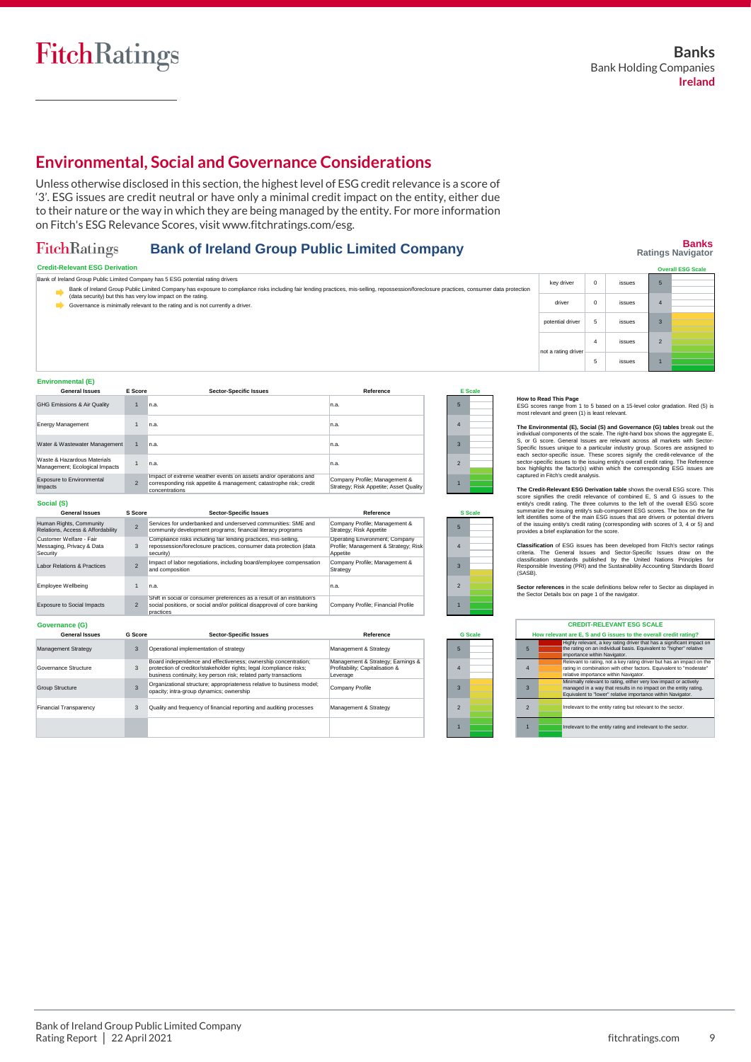## **Environmental, Social and Governance Considerations**

Unless otherwise disclosed in this section, the highest level of ESG credit relevance is a score of '3'. ESG issues are credit neutral or have only a minimal credit impact on the entity, either due to their nature or the way in which they are being managed by the entity. For more information on Fitch's ESG Relevance Scores, visit www.fitchratings.com/esg.

#### **Bank of Ireland Group Public Limited Company** FitchRatings

## **Banks Ratings Navigator**

| <b>Credit-Relevant ESG Derivation</b>                                                                                                                                                                                                                                        |                     |          |        | <b>Overall ESG Scale</b> |
|------------------------------------------------------------------------------------------------------------------------------------------------------------------------------------------------------------------------------------------------------------------------------|---------------------|----------|--------|--------------------------|
| Bank of Ireland Group Public Limited Company has 5 ESG potential rating drivers<br>Bank of Ireland Group Public Limited Company has exposure to compliance risks including fair lending practices, mis-selling, repossession/foreclosure practices, consumer data protection | key driver          |          | issues |                          |
| (data security) but this has very low impact on the rating.<br>Governance is minimally relevant to the rating and is not currently a driver.                                                                                                                                 | driver              |          | issues |                          |
|                                                                                                                                                                                                                                                                              | potential driver    |          | issues |                          |
|                                                                                                                                                                                                                                                                              | not a rating driver | $\Delta$ | issues |                          |
|                                                                                                                                                                                                                                                                              |                     |          | issues |                          |

| <b>General Issues</b>                                         | E Score        | <b>Sector-Specific Issues</b>                                                                                                                            | Reference                                                               |   | E Scale |
|---------------------------------------------------------------|----------------|----------------------------------------------------------------------------------------------------------------------------------------------------------|-------------------------------------------------------------------------|---|---------|
| GHG Emissions & Air Quality                                   |                | n.a.                                                                                                                                                     | In.a.                                                                   | Б |         |
| <b>Energy Management</b>                                      |                | n.a.                                                                                                                                                     | In.a.                                                                   | 4 |         |
| Water & Wastewater Management                                 |                | n.a.                                                                                                                                                     | In.a.                                                                   |   |         |
| Waste & Hazardous Materials<br>Management; Ecological Impacts |                | n.a.                                                                                                                                                     | n.a.                                                                    |   |         |
| <b>Exposure to Environmental</b><br>Impacts                   | $\mathfrak{p}$ | Impact of extreme weather events on assets and/or operations and<br>corresponding risk appetite & management; catastrophe risk; credit<br>concentrations | Company Profile; Management &<br>Strategy; Risk Appetite; Asset Quality |   |         |
|                                                               |                |                                                                                                                                                          |                                                                         |   |         |

| ----- |  |
|-------|--|
|-------|--|

**Environmental (E)**

| <b>General Issues</b>                                            | S Score                  | <b>Sector-Specific Issues</b>                                                                                                                                    | Reference                                                                          |  | <b>S</b> Scale |
|------------------------------------------------------------------|--------------------------|------------------------------------------------------------------------------------------------------------------------------------------------------------------|------------------------------------------------------------------------------------|--|----------------|
| Human Rights, Community<br>Relations, Access & Affordability     |                          | Services for underbanked and underserved communities: SMF and<br>community development programs; financial literacy programs                                     | Company Profile; Management &<br>Strategy; Risk Appetite                           |  |                |
| Customer Welfare - Fair<br>Messaging, Privacy & Data<br>Security | 3                        | Compliance risks including fair lending practices, mis-selling,<br>repossession/foreclosure practices, consumer data protection (data<br>security)               | Operating Environment: Company<br>Profile; Management & Strategy; Risk<br>Appetite |  |                |
| Labor Relations & Practices                                      | $\overline{\phantom{0}}$ | Impact of labor negotiations, including board/employee compensation<br>and composition                                                                           | Company Profile; Management &<br>Strategy                                          |  |                |
| Employee Wellbeing                                               |                          | n.a.                                                                                                                                                             | n.a.                                                                               |  |                |
| <b>Exposure to Social Impacts</b>                                |                          | Shift in social or consumer preferences as a result of an institution's<br>social positions, or social and/or political disapproval of core banking<br>practices | Company Profile: Financial Profile                                                 |  |                |

**Governance (G)** 3 3 3 **G Score** Management & Strategy Management & Strategy; Earnings & Profitability; Capitalisation & Prontability,<br>Leverage **Reference** Company Profile Management & Strategy nagement Strategy ance Structure Group Structure Financial Transparency **General Issue** Operational implementation of strategy Board independence and effectiveness; ownership concentration; protection of creditor/stakeholder rights; legal /compliance risks; business continuity; key person risk; related party transactions Organizational structure; appropriateness relative to business model; opacity; intra-group dynamics; ownership Quality and frequency of financial reporting and auditing processes **Sector-Specific Issues** 3

| $\overline{2}$ |  |  |  |  |  |
|----------------|--|--|--|--|--|
|                |  |  |  |  |  |
| <b>S</b> Scale |  |  |  |  |  |
| 5              |  |  |  |  |  |
| 4              |  |  |  |  |  |
| 3              |  |  |  |  |  |
| $\overline{2}$ |  |  |  |  |  |

| 5              |  |
|----------------|--|
|                |  |
|                |  |
| 4              |  |
|                |  |
| 3              |  |
|                |  |
|                |  |
| $\overline{2}$ |  |
|                |  |
|                |  |
|                |  |

**G Scale**

|                | <b>CREDIT-RELEVANT ESG SCALE</b>                                                                                                                                                                    |
|----------------|-----------------------------------------------------------------------------------------------------------------------------------------------------------------------------------------------------|
|                | How relevant are E. S and G issues to the overall credit rating?                                                                                                                                    |
| 5              | Highly relevant, a key rating driver that has a significant impact on<br>the rating on an individual basis. Equivalent to "higher" relative<br>importance within Navigator.                         |
| $\overline{4}$ | Relevant to rating, not a key rating driver but has an impact on the<br>rating in combination with other factors. Equivalent to "moderate"<br>relative importance within Navigator.                 |
| 3              | Minimally relevant to rating, either very low impact or actively<br>managed in a way that results in no impact on the entity rating.<br>Equivalent to "lower" relative importance within Navigator. |
| $\mathfrak{p}$ | Irrelevant to the entity rating but relevant to the sector.                                                                                                                                         |
|                | Irrelevant to the entity rating and irrelevant to the sector.                                                                                                                                       |

**How to Read This Page**<br>ESG scores range from 1 to 5 based on a 15-level color gradation. Red (5) is most relevant and green (1) is least relevant.

The Environmental (Ep, Social (S) and Governance (G) tables break out the individual components of the scale. The right-hand box shows the aggregate E, S, or G score. General Issues are relevant across all markets with Sec

The Credit-Relevant ESO Derivation table shows the overall ESG score. This credit-Relevance of combined E, S and G issues to the entity's credit rating. The three columns to the left of the overall ESG score summarize the

Classification of ESG issues has been developed from Firch's sector ratings<br>criteria. The General Issues and Sector-Specific Issues draw on the<br>classification standards published by the United Nations Principles for<br>Respon

**Sector references** in the scale definitions below refer to Sector as displayed in the Sector Details box on page 1 of the navigator.